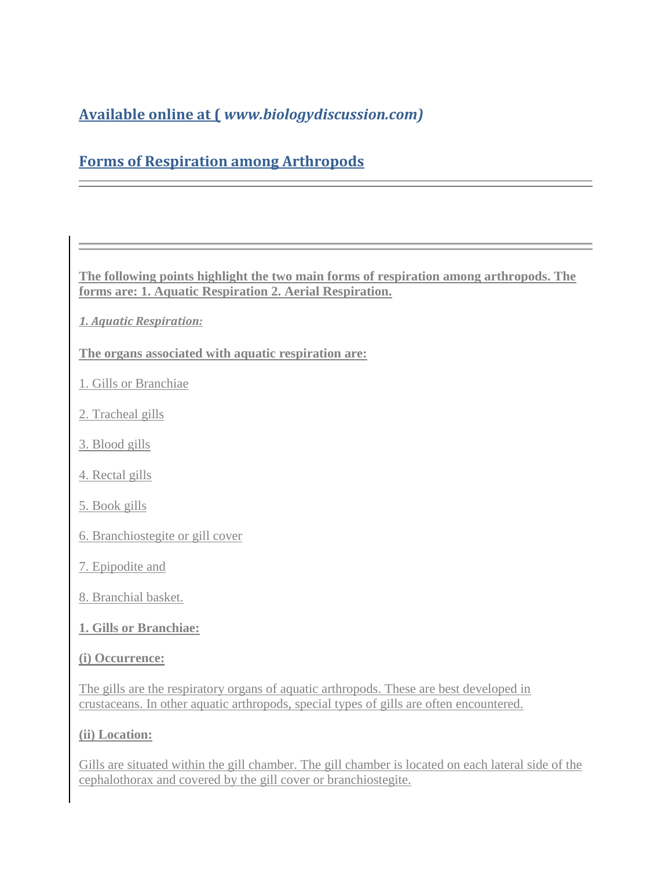# **Available online at (** *www.biologydiscussion.com)*

# **Forms of Respiration among Arthropods**

**The following points highlight the two main forms of respiration among arthropods. The forms are: 1. Aquatic Respiration 2. Aerial Respiration.** 

- *1. Aquatic Respiration:*
- **The organs associated with aquatic respiration are:**
- 1. Gills or Branchiae
- 2. Tracheal gills
- 3. Blood gills
- 4. Rectal gills
- 5. Book gills
- 6. Branchiostegite or gill cover
- 7. Epipodite and
- 8. Branchial basket.
- **1. Gills or Branchiae:**

#### **(i) Occurrence:**

The gills are the respiratory organs of aquatic arthropods. These are best developed in crustaceans. In other aquatic arthropods, special types of gills are often encountered.

#### **(ii) Location:**

Gills are situated within the gill chamber. The gill chamber is located on each lateral side of the cephalothorax and covered by the gill cover or branchiostegite.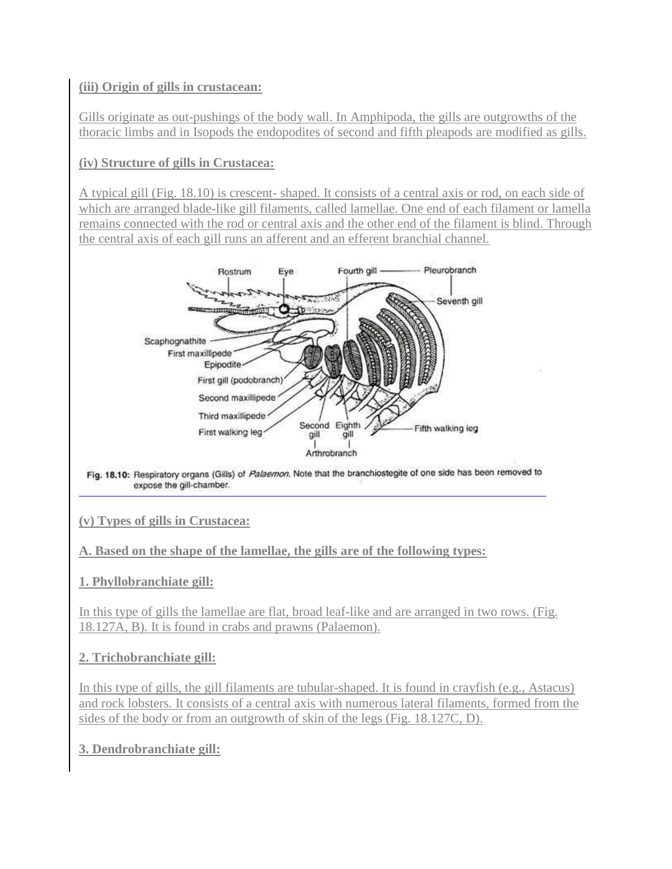# **(iii) Origin of gills in crustacean:**

Gills originate as out-pushings of the body wall. In Amphipoda, the gills are outgrowths of the thoracic limbs and in Isopods the endopodites of second and fifth pleapods are modified as gills.

# **(iv) Structure of gills in Crustacea:**

A typical gill (Fig. 18.10) is crescent- shaped. It consists of a central axis or rod, on each side of which are arranged blade-like gill filaments, called lamellae. One end of each filament or lamella remains connected with the rod or central axis and the other end of the filament is blind. Through the central axis of each gill runs an afferent and an efferent branchial channel.



Fig. 18.10: Respiratory organs (Gills) of Palaemon. Note that the branchiostegite of one side has been removed to expose the gill-chamber.

### **(v) Types of gills in Crustacea:**

### **A. Based on the shape of the lamellae, the gills are of the following types:**

#### **1. Phyllobranchiate gill:**

In this type of gills the lamellae are flat, broad leaf-like and are arranged in two rows. (Fig. 18.127A, B). It is found in crabs and prawns (Palaemon).

### **2. Trichobranchiate gill:**

In this type of gills, the gill filaments are tubular-shaped. It is found in crayfish (e.g., Astacus) and rock lobsters. It consists of a central axis with numerous lateral filaments, formed from the sides of the body or from an outgrowth of skin of the legs (Fig. 18.127C, D).

### **3. Dendrobranchiate gill:**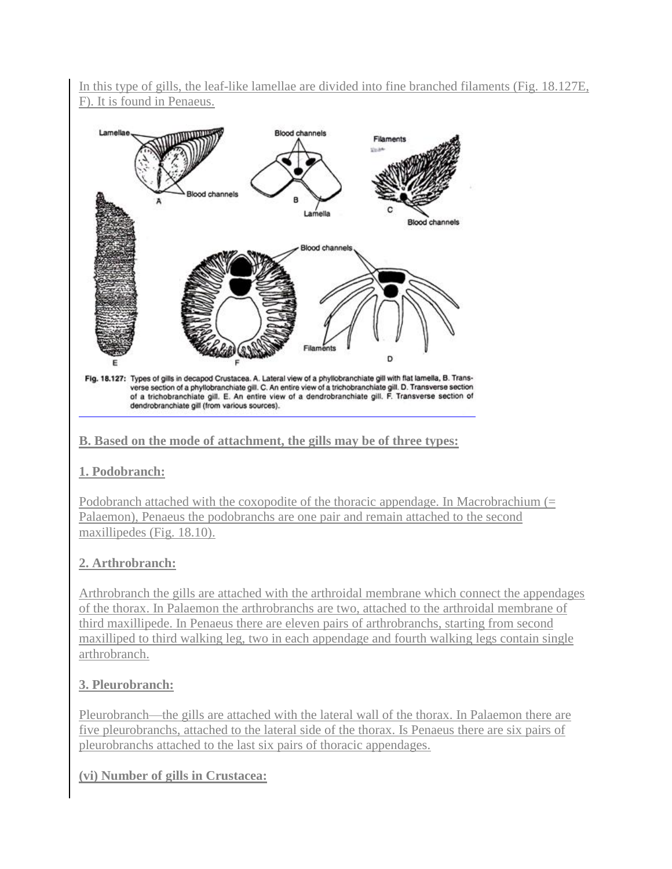In this type of gills, the leaf-like lamellae are divided into fine branched filaments (Fig. 18.127E, F). It is found in Penaeus.



Fig. 18.127: Types of gills in decapod Crustacea. A. Lateral view of a phyllobranchiate gill with flat lamella, B. Transverse section of a phyllobranchiate gill. C. An entire view of a trichobranchiate gill. D. Transverse section of a trichobranchiate gill. E. An entire view of a dendrobranchiate gill. F. Transverse section of dendrobranchiate gill (from various sources).

# **B. Based on the mode of attachment, the gills may be of three types:**

### **1. Podobranch:**

Podobranch attached with the coxopodite of the thoracic appendage. In Macrobrachium (= Palaemon), Penaeus the podobranchs are one pair and remain attached to the second maxillipedes (Fig. 18.10).

# **2. Arthrobranch:**

Arthrobranch the gills are attached with the arthroidal membrane which connect the appendages of the thorax. In Palaemon the arthrobranchs are two, attached to the arthroidal membrane of third maxillipede. In Penaeus there are eleven pairs of arthrobranchs, starting from second maxilliped to third walking leg, two in each appendage and fourth walking legs contain single arthrobranch.

# **3. Pleurobranch:**

Pleurobranch—the gills are attached with the lateral wall of the thorax. In Palaemon there are five pleurobranchs, attached to the lateral side of the thorax. Is Penaeus there are six pairs of pleurobranchs attached to the last six pairs of thoracic appendages.

### **(vi) Number of gills in Crustacea:**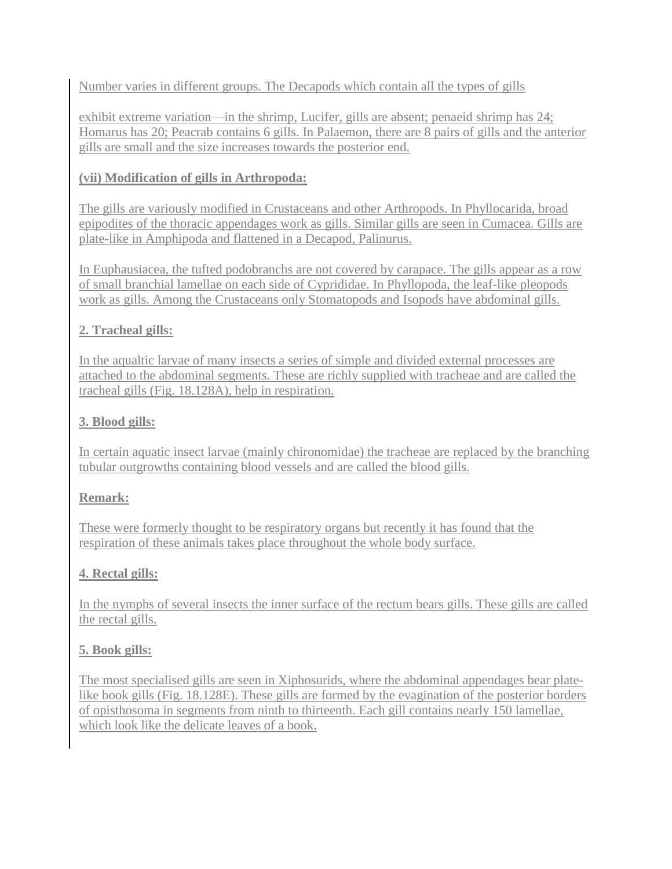Number varies in different groups. The Decapods which contain all the types of gills

exhibit extreme variation—in the shrimp, Lucifer, gills are absent; penaeid shrimp has 24; Homarus has 20; Peacrab contains 6 gills. In Palaemon, there are 8 pairs of gills and the anterior gills are small and the size increases towards the posterior end.

## **(vii) Modification of gills in Arthropoda:**

The gills are variously modified in Crustaceans and other Arthropods. In Phyllocarida, broad epipodites of the thoracic appendages work as gills. Similar gills are seen in Cumacea. Gills are plate-like in Amphipoda and flattened in a Decapod, Palinurus.

In Euphausiacea, the tufted podobranchs are not covered by carapace. The gills appear as a row of small branchial lamellae on each side of Cyprididae. In Phyllopoda, the leaf-like pleopods work as gills. Among the Crustaceans only Stomatopods and Isopods have abdominal gills.

# **2. Tracheal gills:**

In the aqualtic larvae of many insects a series of simple and divided external processes are attached to the abdominal segments. These are richly supplied with tracheae and are called the tracheal gills (Fig. 18.128A), help in respiration.

# **3. Blood gills:**

In certain aquatic insect larvae (mainly chironomidae) the tracheae are replaced by the branching tubular outgrowths containing blood vessels and are called the blood gills.

# **Remark:**

These were formerly thought to be respiratory organs but recently it has found that the respiration of these animals takes place throughout the whole body surface.

# **4. Rectal gills:**

In the nymphs of several insects the inner surface of the rectum bears gills. These gills are called the rectal gills.

### **5. Book gills:**

The most specialised gills are seen in Xiphosurids, where the abdominal appendages bear platelike book gills (Fig. 18.128E). These gills are formed by the evagination of the posterior borders of opisthosoma in segments from ninth to thirteenth. Each gill contains nearly 150 lamellae, which look like the delicate leaves of a book.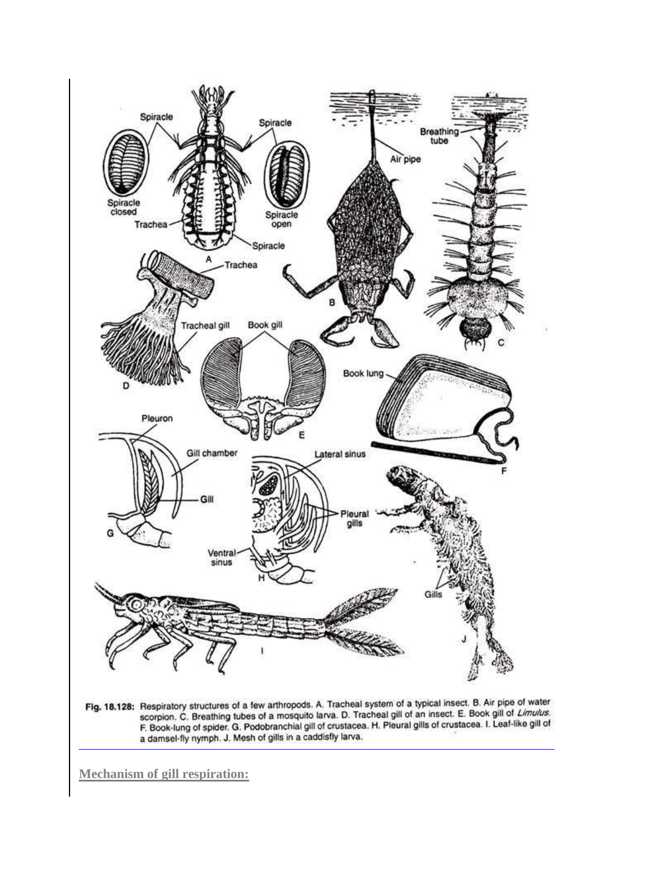

Fig. 18.128: Respiratory structures of a few arthropods. A. Tracheal system of a typical insect. B. Air pipe of water<br>scorpion. C. Breathing tubes of a mosquito larva. D. Tracheal gill of an insect. E. Book gill of Limulus

**Mechanism of gill respiration:**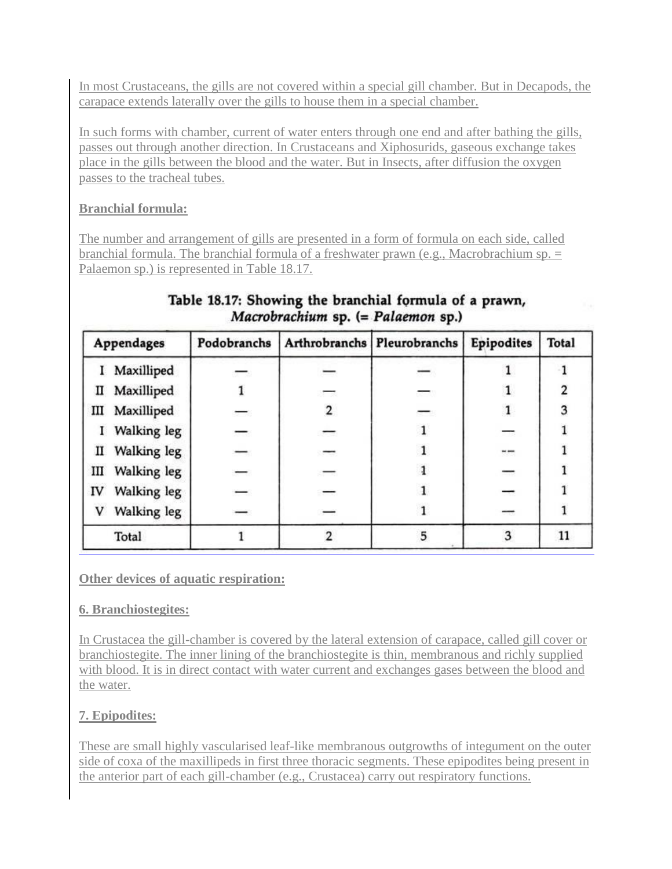In most Crustaceans, the gills are not covered within a special gill chamber. But in Decapods, the carapace extends laterally over the gills to house them in a special chamber.

In such forms with chamber, current of water enters through one end and after bathing the gills, passes out through another direction. In Crustaceans and Xiphosurids, gaseous exchange takes place in the gills between the blood and the water. But in Insects, after diffusion the oxygen passes to the tracheal tubes.

# **Branchial formula:**

The number and arrangement of gills are presented in a form of formula on each side, called branchial formula. The branchial formula of a freshwater prawn (e.g., Macrobrachium sp. = Palaemon sp.) is represented in Table 18.17.

| <b>Appendages</b> |             | Podobranchs |   | Arthrobranchs Pleurobranchs       | <b>Epipodites</b> | <b>Total</b>   |
|-------------------|-------------|-------------|---|-----------------------------------|-------------------|----------------|
|                   | Maxilliped  |             |   |                                   |                   |                |
| п                 | Maxilliped  |             | = | $\langle \langle \rangle \rangle$ |                   | $\overline{2}$ |
| Ш                 | Maxilliped  | $-$         | 2 | $\overline{\phantom{0}}$          | $\mathbf{1}$      | 3              |
| 1                 | Walking leg |             |   |                                   |                   |                |
| п                 | Walking leg |             |   |                                   | 77                |                |
| Ш                 | Walking leg |             |   |                                   | —                 |                |
| IV                | Walking leg |             |   |                                   |                   |                |
| V                 | Walking leg |             |   |                                   |                   |                |
|                   | Total       |             |   |                                   |                   | 11             |

# Table 18.17: Showing the branchial formula of a prawn, Macrobrachium sp. (= Palaemon sp.)

**Other devices of aquatic respiration:** 

### **6. Branchiostegites:**

In Crustacea the gill-chamber is covered by the lateral extension of carapace, called gill cover or branchiostegite. The inner lining of the branchiostegite is thin, membranous and richly supplied with blood. It is in direct contact with water current and exchanges gases between the blood and the water.

# **7. Epipodites:**

These are small highly vascularised leaf-like membranous outgrowths of integument on the outer side of coxa of the maxillipeds in first three thoracic segments. These epipodites being present in the anterior part of each gill-chamber (e.g., Crustacea) carry out respiratory functions.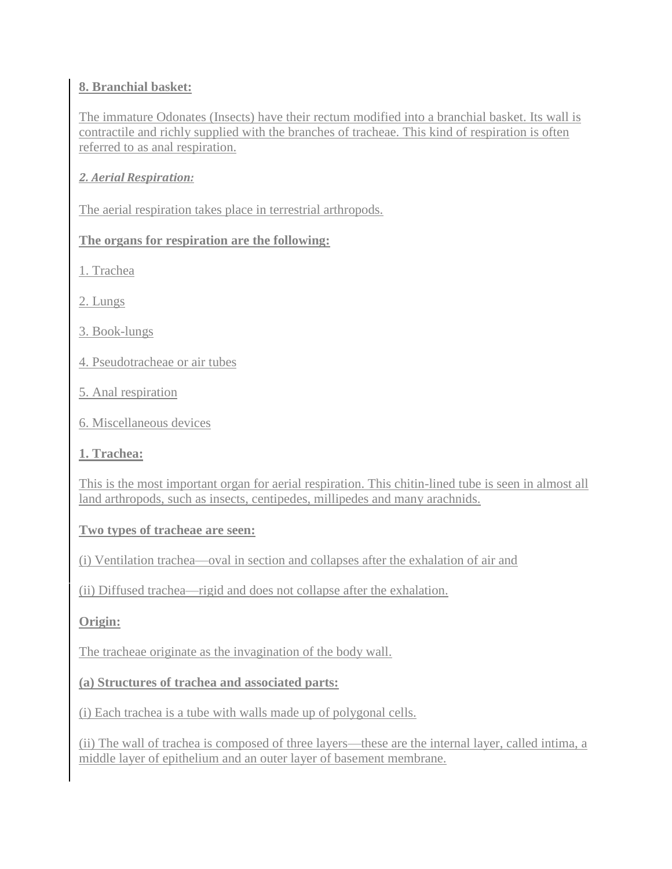### **8. Branchial basket:**

The immature Odonates (Insects) have their rectum modified into a branchial basket. Its wall is contractile and richly supplied with the branches of tracheae. This kind of respiration is often referred to as anal respiration.

### *2. Aerial Respiration:*

The aerial respiration takes place in terrestrial arthropods.

#### **The organs for respiration are the following:**

1. Trachea

2. Lungs

3. Book-lungs

- 4. Pseudotracheae or air tubes
- 5. Anal respiration
- 6. Miscellaneous devices

#### **1. Trachea:**

This is the most important organ for aerial respiration. This chitin-lined tube is seen in almost all land arthropods, such as insects, centipedes, millipedes and many arachnids.

### **Two types of tracheae are seen:**

(i) Ventilation trachea—oval in section and collapses after the exhalation of air and

(ii) Diffused trachea—rigid and does not collapse after the exhalation.

### **Origin:**

The tracheae originate as the invagination of the body wall.

#### **(a) Structures of trachea and associated parts:**

(i) Each trachea is a tube with walls made up of polygonal cells.

(ii) The wall of trachea is composed of three layers—these are the internal layer, called intima, a middle layer of epithelium and an outer layer of basement membrane.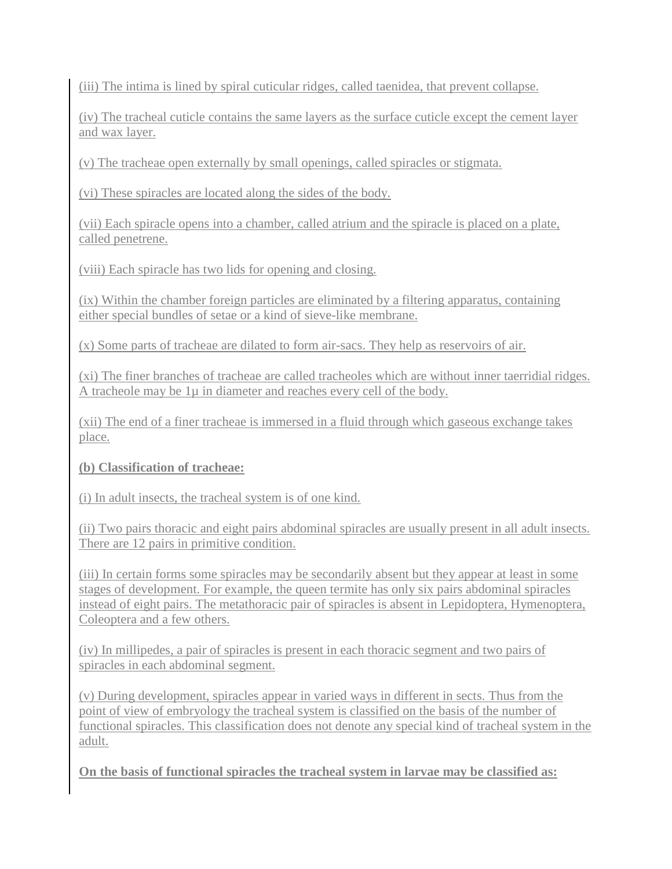(iii) The intima is lined by spiral cuticular ridges, called taenidea, that prevent collapse.

(iv) The tracheal cuticle contains the same layers as the surface cuticle except the cement layer and wax layer.

(v) The tracheae open externally by small openings, called spiracles or stigmata.

(vi) These spiracles are located along the sides of the body.

(vii) Each spiracle opens into a chamber, called atrium and the spiracle is placed on a plate, called penetrene.

(viii) Each spiracle has two lids for opening and closing.

(ix) Within the chamber foreign particles are eliminated by a filtering apparatus, containing either special bundles of setae or a kind of sieve-like membrane.

(x) Some parts of tracheae are dilated to form air-sacs. They help as reservoirs of air.

(xi) The finer branches of tracheae are called tracheoles which are without inner taerridial ridges. A tracheole may be  $1\mu$  in diameter and reaches every cell of the body.

(xii) The end of a finer tracheae is immersed in a fluid through which gaseous exchange takes place.

# **(b) Classification of tracheae:**

(i) In adult insects, the tracheal system is of one kind.

(ii) Two pairs thoracic and eight pairs abdominal spiracles are usually present in all adult insects. There are 12 pairs in primitive condition.

(iii) In certain forms some spiracles may be secondarily absent but they appear at least in some stages of development. For example, the queen termite has only six pairs abdominal spiracles instead of eight pairs. The metathoracic pair of spiracles is absent in Lepidoptera, Hymenoptera, Coleoptera and a few others.

(iv) In millipedes, a pair of spiracles is present in each thoracic segment and two pairs of spiracles in each abdominal segment.

(v) During development, spiracles appear in varied ways in different in sects. Thus from the point of view of embryology the tracheal system is classified on the basis of the number of functional spiracles. This classification does not denote any special kind of tracheal system in the adult.

**On the basis of functional spiracles the tracheal system in larvae may be classified as:**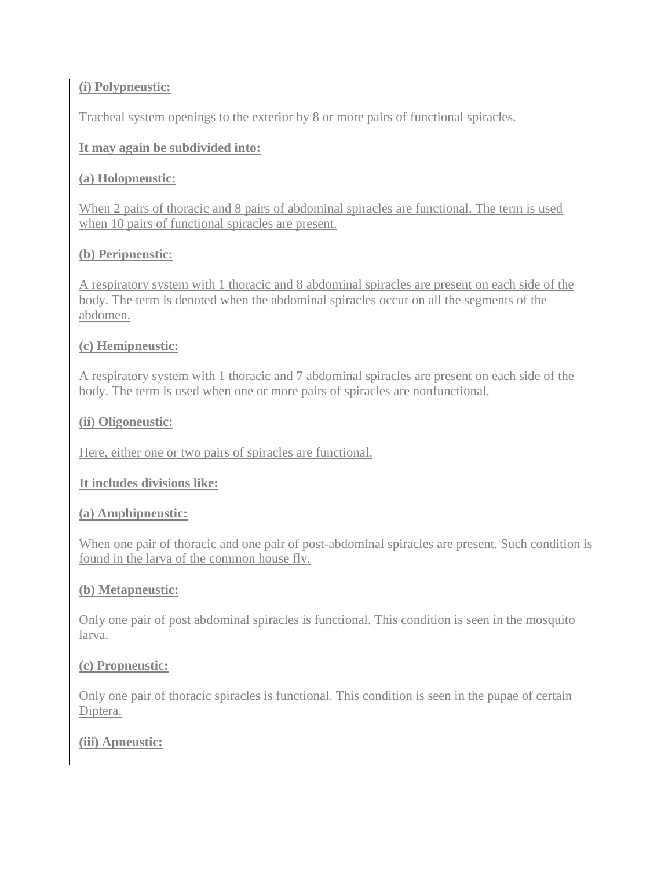### **(i) Polypneustic:**

Tracheal system openings to the exterior by 8 or more pairs of functional spiracles.

#### **It may again be subdivided into:**

#### **(a) Holopneustic:**

When 2 pairs of thoracic and 8 pairs of abdominal spiracles are functional. The term is used when 10 pairs of functional spiracles are present.

#### **(b) Peripneustic:**

A respiratory system with 1 thoracic and 8 abdominal spiracles are present on each side of the body. The term is denoted when the abdominal spiracles occur on all the segments of the abdomen.

#### **(c) Hemipneustic:**

A respiratory system with 1 thoracic and 7 abdominal spiracles are present on each side of the body. The term is used when one or more pairs of spiracles are nonfunctional.

#### **(ii) Oligoneustic:**

Here, either one or two pairs of spiracles are functional.

#### **It includes divisions like:**

#### **(a) Amphipneustic:**

When one pair of thoracic and one pair of post-abdominal spiracles are present. Such condition is found in the larva of the common house fly.

#### **(b) Metapneustic:**

Only one pair of post abdominal spiracles is functional. This condition is seen in the mosquito larva.

#### **(c) Propneustic:**

Only one pair of thoracic spiracles is functional. This condition is seen in the pupae of certain Diptera.

### **(iii) Apneustic:**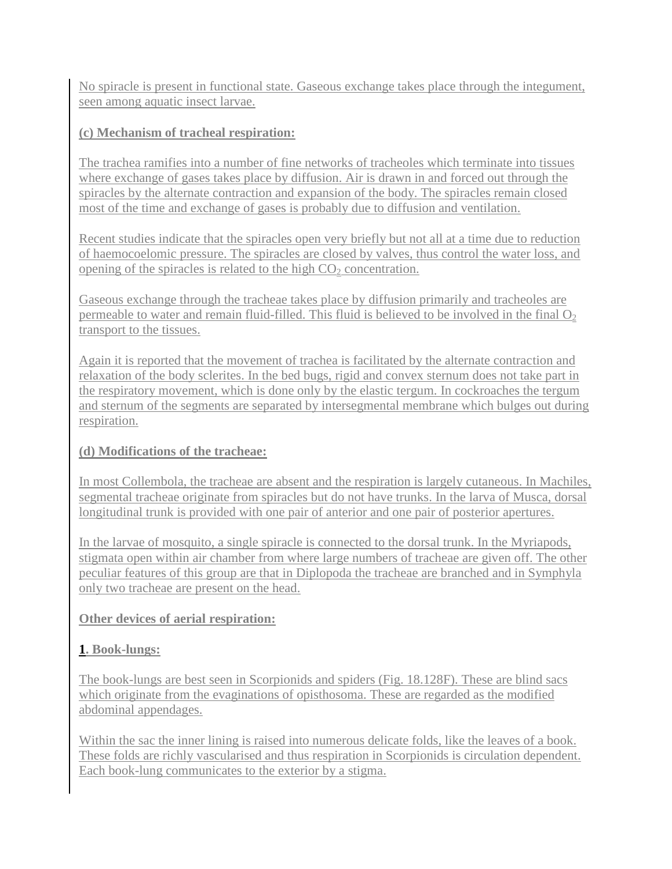No spiracle is present in functional state. Gaseous exchange takes place through the integument, seen among aquatic insect larvae.

# **(c) Mechanism of tracheal respiration:**

The trachea ramifies into a number of fine networks of tracheoles which terminate into tissues where exchange of gases takes place by diffusion. Air is drawn in and forced out through the spiracles by the alternate contraction and expansion of the body. The spiracles remain closed most of the time and exchange of gases is probably due to diffusion and ventilation.

Recent studies indicate that the spiracles open very briefly but not all at a time due to reduction of haemocoelomic pressure. The spiracles are closed by valves, thus control the water loss, and opening of the spiracles is related to the high  $CO<sub>2</sub>$  concentration.

Gaseous exchange through the tracheae takes place by diffusion primarily and tracheoles are permeable to water and remain fluid-filled. This fluid is believed to be involved in the final  $O_2$ transport to the tissues.

Again it is reported that the movement of trachea is facilitated by the alternate contraction and relaxation of the body sclerites. In the bed bugs, rigid and convex sternum does not take part in the respiratory movement, which is done only by the elastic tergum. In cockroaches the tergum and sternum of the segments are separated by intersegmental membrane which bulges out during respiration.

### **(d) Modifications of the tracheae:**

In most Collembola, the tracheae are absent and the respiration is largely cutaneous. In Machiles, segmental tracheae originate from spiracles but do not have trunks. In the larva of Musca, dorsal longitudinal trunk is provided with one pair of anterior and one pair of posterior apertures.

In the larvae of mosquito, a single spiracle is connected to the dorsal trunk. In the Myriapods, stigmata open within air chamber from where large numbers of tracheae are given off. The other peculiar features of this group are that in Diplopoda the tracheae are branched and in Symphyla only two tracheae are present on the head.

# **Other devices of aerial respiration:**

# **1. Book-lungs:**

The book-lungs are best seen in Scorpionids and spiders (Fig. 18.128F). These are blind sacs which originate from the evaginations of opisthosoma. These are regarded as the modified abdominal appendages.

Within the sac the inner lining is raised into numerous delicate folds, like the leaves of a book. These folds are richly vascularised and thus respiration in Scorpionids is circulation dependent. Each book-lung communicates to the exterior by a stigma.